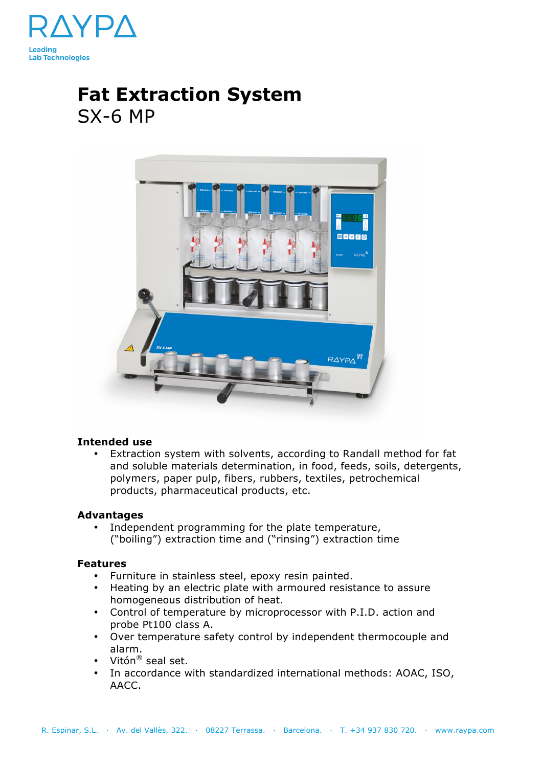

# **Fat Extraction System**  SX-6 MP



## **Intended use**

• Extraction system with solvents, according to Randall method for fat and soluble materials determination, in food, feeds, soils, detergents, polymers, paper pulp, fibers, rubbers, textiles, petrochemical products, pharmaceutical products, etc.

## **Advantages**

• Independent programming for the plate temperature, ("boiling") extraction time and ("rinsing") extraction time

## **Features**

- Furniture in stainless steel, epoxy resin painted.
- Heating by an electric plate with armoured resistance to assure homogeneous distribution of heat.
- Control of temperature by microprocessor with P.I.D. action and probe Pt100 class A.
- Over temperature safety control by independent thermocouple and alarm.
- Vitón® seal set.
- In accordance with standardized international methods: AOAC, ISO, AACC.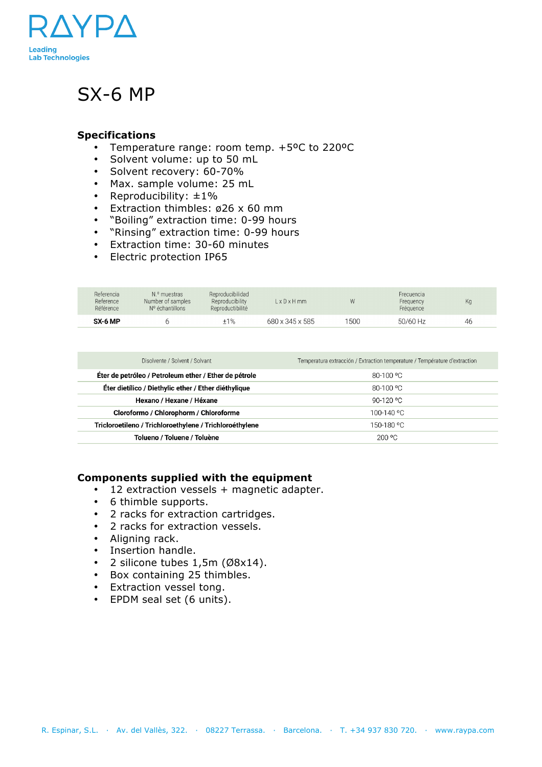

## SX-6 MP

## **Specifications**

- Temperature range: room temp. +5ºC to 220ºC
- Solvent volume: up to 50 mL
- Solvent recovery: 60-70%
- Max. sample volume: 25 mL
- Reproducibility:  $\pm 1\%$
- Extraction thimbles: ø26 x 60 mm
- "Boiling" extraction time: 0-99 hours
- "Rinsing" extraction time: 0-99 hours
- Extraction time: 30-60 minutes
- Electric protection IP65

| Referencia<br>Reference<br>Référence | N.º muestras<br>Number of samples<br>N° échantillons | Reproducibilidad<br>Reproducibility<br>Reproductibilité | $L \times D \times H$ mm | W    | Frecuencia<br>Frequency<br>Fréquence | Kg |
|--------------------------------------|------------------------------------------------------|---------------------------------------------------------|--------------------------|------|--------------------------------------|----|
| SX-6 MP                              |                                                      | ±1%                                                     | 680 x 345 x 585          | 1500 | 50/60 Hz                             | 46 |

| Disolvente / Solvent / Solvant                          | Temperatura extracción / Extraction temperature / Température d'extraction |  |  |
|---------------------------------------------------------|----------------------------------------------------------------------------|--|--|
| Éter de petróleo / Petroleum ether / Ether de pétrole   | 80-100 °C                                                                  |  |  |
| Éter dietílico / Diethylic ether / Ether diéthylique    | 80-100 °C                                                                  |  |  |
| Hexano / Hexane / Héxane                                | 90-120 °C                                                                  |  |  |
| Cloroformo / Chlorophorm / Chloroforme                  | 100-140 °C                                                                 |  |  |
| Tricloroetileno / Trichloroethylene / Trichloroéthylene | 150-180 °C                                                                 |  |  |
| Tolueno / Toluene / Toluène                             | $200 \degree C$                                                            |  |  |

## **Components supplied with the equipment**

- 12 extraction vessels + magnetic adapter.
- 6 thimble supports.
- 2 racks for extraction cartridges.
- 2 racks for extraction vessels.
- Aligning rack.
- Insertion handle.
- 2 silicone tubes 1,5m (Ø8x14).
- Box containing 25 thimbles.
- Extraction vessel tong.
- EPDM seal set (6 units).